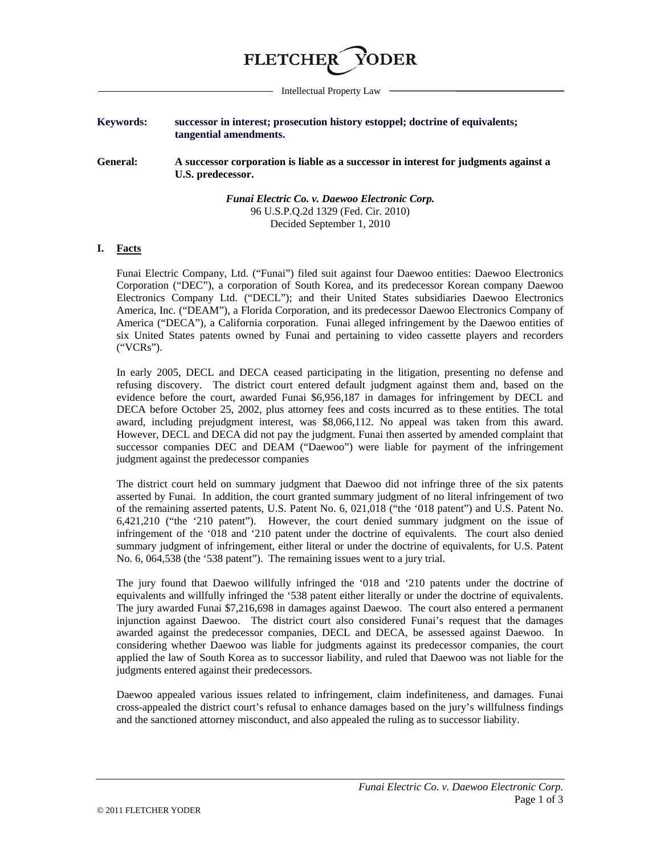

Intellectual Property Law

## **Keywords: successor in interest; prosecution history estoppel; doctrine of equivalents; tangential amendments.**

**General: A successor corporation is liable as a successor in interest for judgments against a U.S. predecessor.**

> *Funai Electric Co. v. Daewoo Electronic Corp.* 96 U.S.P.Q.2d 1329 (Fed. Cir. 2010) Decided September 1, 2010

## **I. Facts**

Funai Electric Company, Ltd. ("Funai") filed suit against four Daewoo entities: Daewoo Electronics Corporation ("DEC"), a corporation of South Korea, and its predecessor Korean company Daewoo Electronics Company Ltd. ("DECL"); and their United States subsidiaries Daewoo Electronics America, Inc. ("DEAM"), a Florida Corporation, and its predecessor Daewoo Electronics Company of America ("DECA"), a California corporation. Funai alleged infringement by the Daewoo entities of six United States patents owned by Funai and pertaining to video cassette players and recorders ("VCRs").

In early 2005, DECL and DECA ceased participating in the litigation, presenting no defense and refusing discovery. The district court entered default judgment against them and, based on the evidence before the court, awarded Funai \$6,956,187 in damages for infringement by DECL and DECA before October 25, 2002, plus attorney fees and costs incurred as to these entities. The total award, including prejudgment interest, was \$8,066,112. No appeal was taken from this award. However, DECL and DECA did not pay the judgment. Funai then asserted by amended complaint that successor companies DEC and DEAM ("Daewoo") were liable for payment of the infringement judgment against the predecessor companies

The district court held on summary judgment that Daewoo did not infringe three of the six patents asserted by Funai. In addition, the court granted summary judgment of no literal infringement of two of the remaining asserted patents, U.S. Patent No. 6, 021,018 ("the '018 patent") and U.S. Patent No. 6,421,210 ("the '210 patent"). However, the court denied summary judgment on the issue of infringement of the '018 and '210 patent under the doctrine of equivalents. The court also denied summary judgment of infringement, either literal or under the doctrine of equivalents, for U.S. Patent No. 6, 064,538 (the '538 patent"). The remaining issues went to a jury trial.

The jury found that Daewoo willfully infringed the '018 and '210 patents under the doctrine of equivalents and willfully infringed the '538 patent either literally or under the doctrine of equivalents. The jury awarded Funai \$7,216,698 in damages against Daewoo. The court also entered a permanent injunction against Daewoo. The district court also considered Funai's request that the damages awarded against the predecessor companies, DECL and DECA, be assessed against Daewoo. In considering whether Daewoo was liable for judgments against its predecessor companies, the court applied the law of South Korea as to successor liability, and ruled that Daewoo was not liable for the judgments entered against their predecessors.

Daewoo appealed various issues related to infringement, claim indefiniteness, and damages. Funai cross-appealed the district court's refusal to enhance damages based on the jury's willfulness findings and the sanctioned attorney misconduct, and also appealed the ruling as to successor liability.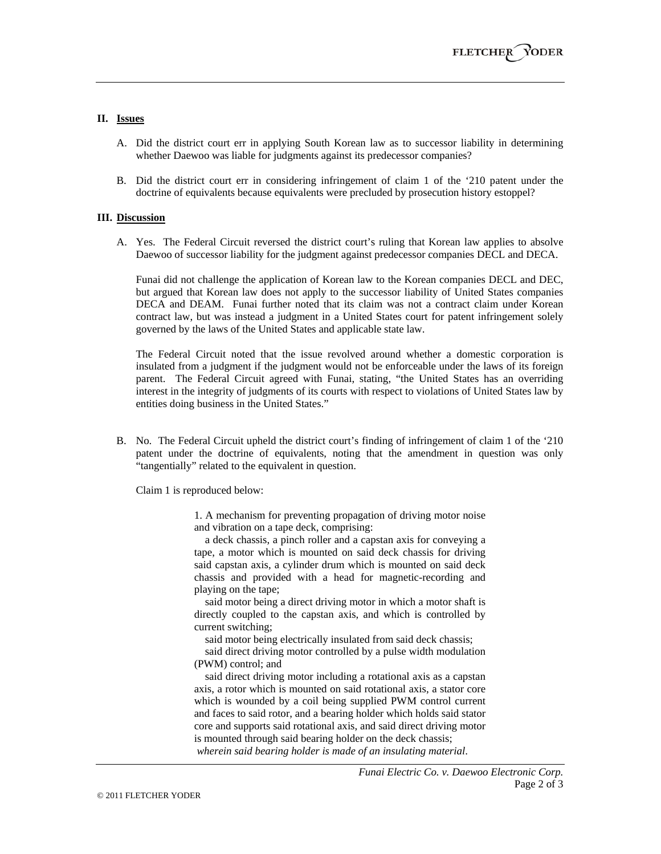## **II. Issues**

- A. Did the district court err in applying South Korean law as to successor liability in determining whether Daewoo was liable for judgments against its predecessor companies?
- B. Did the district court err in considering infringement of claim 1 of the '210 patent under the doctrine of equivalents because equivalents were precluded by prosecution history estoppel?

## **III. Discussion**

A. Yes. The Federal Circuit reversed the district court's ruling that Korean law applies to absolve Daewoo of successor liability for the judgment against predecessor companies DECL and DECA.

Funai did not challenge the application of Korean law to the Korean companies DECL and DEC, but argued that Korean law does not apply to the successor liability of United States companies DECA and DEAM. Funai further noted that its claim was not a contract claim under Korean contract law, but was instead a judgment in a United States court for patent infringement solely governed by the laws of the United States and applicable state law.

The Federal Circuit noted that the issue revolved around whether a domestic corporation is insulated from a judgment if the judgment would not be enforceable under the laws of its foreign parent. The Federal Circuit agreed with Funai, stating, "the United States has an overriding interest in the integrity of judgments of its courts with respect to violations of United States law by entities doing business in the United States."

B. No. The Federal Circuit upheld the district court's finding of infringement of claim 1 of the '210 patent under the doctrine of equivalents, noting that the amendment in question was only "tangentially" related to the equivalent in question.

Claim 1 is reproduced below:

1. A mechanism for preventing propagation of driving motor noise and vibration on a tape deck, comprising:

 a deck chassis, a pinch roller and a capstan axis for conveying a tape, a motor which is mounted on said deck chassis for driving said capstan axis, a cylinder drum which is mounted on said deck chassis and provided with a head for magnetic-recording and playing on the tape;

 said motor being a direct driving motor in which a motor shaft is directly coupled to the capstan axis, and which is controlled by current switching;

said motor being electrically insulated from said deck chassis;

 said direct driving motor controlled by a pulse width modulation (PWM) control; and

 said direct driving motor including a rotational axis as a capstan axis, a rotor which is mounted on said rotational axis, a stator core which is wounded by a coil being supplied PWM control current and faces to said rotor, and a bearing holder which holds said stator core and supports said rotational axis, and said direct driving motor is mounted through said bearing holder on the deck chassis; *wherein said bearing holder is made of an insulating material*.